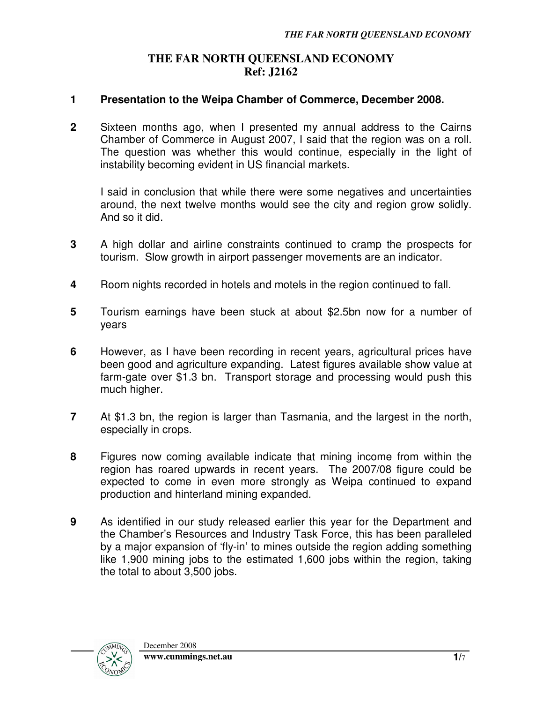## **THE FAR NORTH QUEENSLAND ECONOMY Ref: J2162**

## **1 Presentation to the Weipa Chamber of Commerce, December 2008.**

**2** Sixteen months ago, when I presented my annual address to the Cairns Chamber of Commerce in August 2007, I said that the region was on a roll. The question was whether this would continue, especially in the light of instability becoming evident in US financial markets.

I said in conclusion that while there were some negatives and uncertainties around, the next twelve months would see the city and region grow solidly. And so it did.

- **3** A high dollar and airline constraints continued to cramp the prospects for tourism. Slow growth in airport passenger movements are an indicator.
- **4** Room nights recorded in hotels and motels in the region continued to fall.
- **5** Tourism earnings have been stuck at about \$2.5bn now for a number of years
- **6** However, as I have been recording in recent years, agricultural prices have been good and agriculture expanding. Latest figures available show value at farm-gate over \$1.3 bn. Transport storage and processing would push this much higher.
- **7** At \$1.3 bn, the region is larger than Tasmania, and the largest in the north, especially in crops.
- **8** Figures now coming available indicate that mining income from within the region has roared upwards in recent years. The 2007/08 figure could be expected to come in even more strongly as Weipa continued to expand production and hinterland mining expanded.
- **9** As identified in our study released earlier this year for the Department and the Chamber's Resources and Industry Task Force, this has been paralleled by a major expansion of 'fly-in' to mines outside the region adding something like 1,900 mining jobs to the estimated 1,600 jobs within the region, taking the total to about 3,500 jobs.

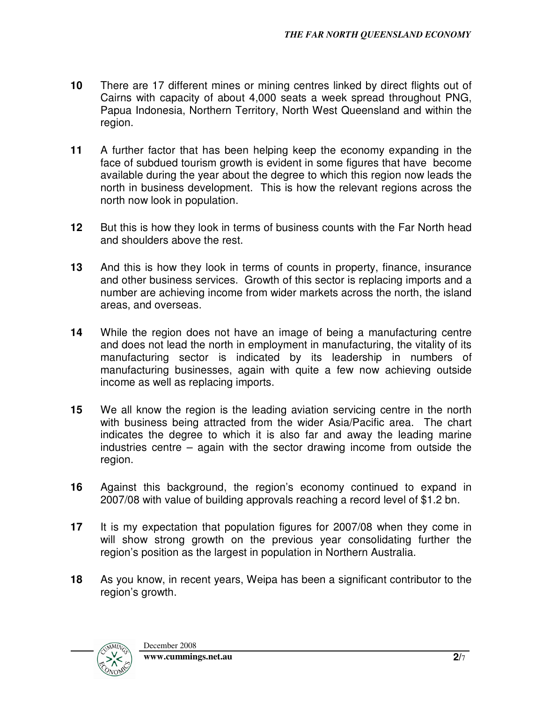- **10** There are 17 different mines or mining centres linked by direct flights out of Cairns with capacity of about 4,000 seats a week spread throughout PNG, Papua Indonesia, Northern Territory, North West Queensland and within the region.
- **11** A further factor that has been helping keep the economy expanding in the face of subdued tourism growth is evident in some figures that have become available during the year about the degree to which this region now leads the north in business development. This is how the relevant regions across the north now look in population.
- **12** But this is how they look in terms of business counts with the Far North head and shoulders above the rest.
- **13** And this is how they look in terms of counts in property, finance, insurance and other business services. Growth of this sector is replacing imports and a number are achieving income from wider markets across the north, the island areas, and overseas.
- **14** While the region does not have an image of being a manufacturing centre and does not lead the north in employment in manufacturing, the vitality of its manufacturing sector is indicated by its leadership in numbers of manufacturing businesses, again with quite a few now achieving outside income as well as replacing imports.
- **15** We all know the region is the leading aviation servicing centre in the north with business being attracted from the wider Asia/Pacific area. The chart indicates the degree to which it is also far and away the leading marine industries centre – again with the sector drawing income from outside the region.
- **16** Against this background, the region's economy continued to expand in 2007/08 with value of building approvals reaching a record level of \$1.2 bn.
- **17** It is my expectation that population figures for 2007/08 when they come in will show strong growth on the previous year consolidating further the region's position as the largest in population in Northern Australia.
- **18** As you know, in recent years, Weipa has been a significant contributor to the region's growth.

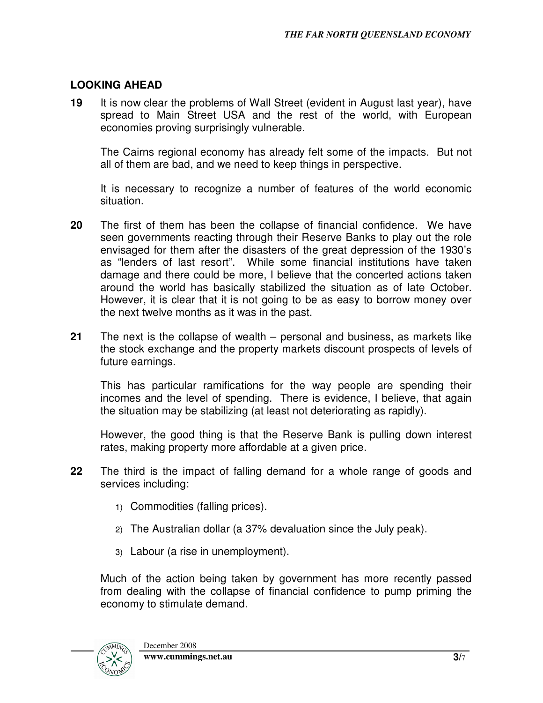## **LOOKING AHEAD**

**19** It is now clear the problems of Wall Street (evident in August last year), have spread to Main Street USA and the rest of the world, with European economies proving surprisingly vulnerable.

The Cairns regional economy has already felt some of the impacts. But not all of them are bad, and we need to keep things in perspective.

It is necessary to recognize a number of features of the world economic situation.

- **20** The first of them has been the collapse of financial confidence. We have seen governments reacting through their Reserve Banks to play out the role envisaged for them after the disasters of the great depression of the 1930's as "lenders of last resort". While some financial institutions have taken damage and there could be more, I believe that the concerted actions taken around the world has basically stabilized the situation as of late October. However, it is clear that it is not going to be as easy to borrow money over the next twelve months as it was in the past.
- **21** The next is the collapse of wealth personal and business, as markets like the stock exchange and the property markets discount prospects of levels of future earnings.

This has particular ramifications for the way people are spending their incomes and the level of spending. There is evidence, I believe, that again the situation may be stabilizing (at least not deteriorating as rapidly).

However, the good thing is that the Reserve Bank is pulling down interest rates, making property more affordable at a given price.

- **22** The third is the impact of falling demand for a whole range of goods and services including:
	- 1) Commodities (falling prices).
	- 2) The Australian dollar (a 37% devaluation since the July peak).
	- 3) Labour (a rise in unemployment).

Much of the action being taken by government has more recently passed from dealing with the collapse of financial confidence to pump priming the economy to stimulate demand.

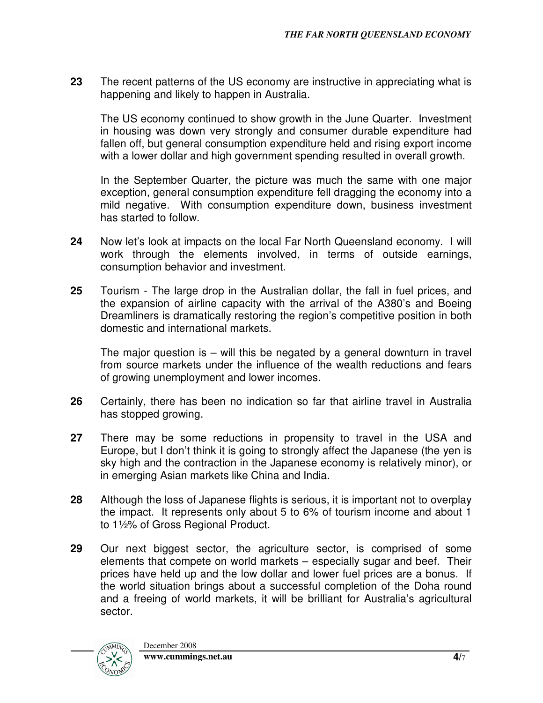**23** The recent patterns of the US economy are instructive in appreciating what is happening and likely to happen in Australia.

The US economy continued to show growth in the June Quarter. Investment in housing was down very strongly and consumer durable expenditure had fallen off, but general consumption expenditure held and rising export income with a lower dollar and high government spending resulted in overall growth.

In the September Quarter, the picture was much the same with one major exception, general consumption expenditure fell dragging the economy into a mild negative. With consumption expenditure down, business investment has started to follow.

- **24** Now let's look at impacts on the local Far North Queensland economy. I will work through the elements involved, in terms of outside earnings, consumption behavior and investment.
- **25** Tourism The large drop in the Australian dollar, the fall in fuel prices, and the expansion of airline capacity with the arrival of the A380's and Boeing Dreamliners is dramatically restoring the region's competitive position in both domestic and international markets.

The major question is – will this be negated by a general downturn in travel from source markets under the influence of the wealth reductions and fears of growing unemployment and lower incomes.

- **26** Certainly, there has been no indication so far that airline travel in Australia has stopped growing.
- **27** There may be some reductions in propensity to travel in the USA and Europe, but I don't think it is going to strongly affect the Japanese (the yen is sky high and the contraction in the Japanese economy is relatively minor), or in emerging Asian markets like China and India.
- **28** Although the loss of Japanese flights is serious, it is important not to overplay the impact. It represents only about 5 to 6% of tourism income and about 1 to 1½% of Gross Regional Product.
- **29** Our next biggest sector, the agriculture sector, is comprised of some elements that compete on world markets – especially sugar and beef. Their prices have held up and the low dollar and lower fuel prices are a bonus. If the world situation brings about a successful completion of the Doha round and a freeing of world markets, it will be brilliant for Australia's agricultural sector.

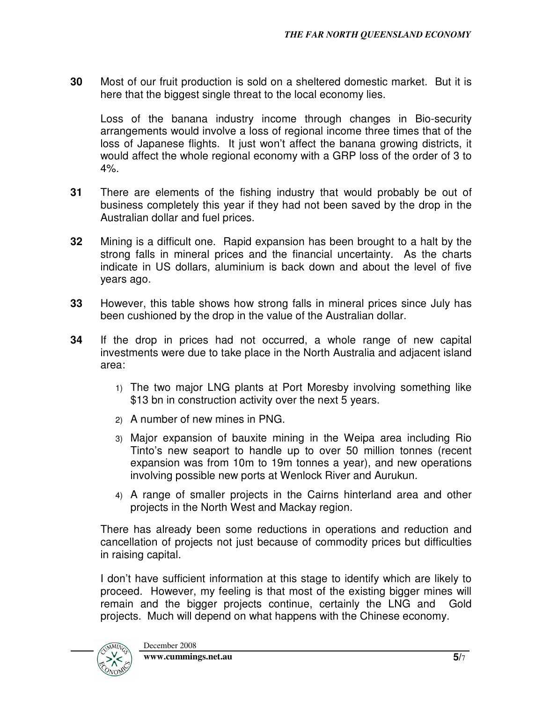**30** Most of our fruit production is sold on a sheltered domestic market. But it is here that the biggest single threat to the local economy lies.

Loss of the banana industry income through changes in Bio-security arrangements would involve a loss of regional income three times that of the loss of Japanese flights. It just won't affect the banana growing districts, it would affect the whole regional economy with a GRP loss of the order of 3 to  $4\%$ .

- **31** There are elements of the fishing industry that would probably be out of business completely this year if they had not been saved by the drop in the Australian dollar and fuel prices.
- **32** Mining is a difficult one. Rapid expansion has been brought to a halt by the strong falls in mineral prices and the financial uncertainty. As the charts indicate in US dollars, aluminium is back down and about the level of five years ago.
- **33** However, this table shows how strong falls in mineral prices since July has been cushioned by the drop in the value of the Australian dollar.
- **34** If the drop in prices had not occurred, a whole range of new capital investments were due to take place in the North Australia and adjacent island area:
	- 1) The two major LNG plants at Port Moresby involving something like \$13 bn in construction activity over the next 5 years.
	- 2) A number of new mines in PNG.
	- 3) Major expansion of bauxite mining in the Weipa area including Rio Tinto's new seaport to handle up to over 50 million tonnes (recent expansion was from 10m to 19m tonnes a year), and new operations involving possible new ports at Wenlock River and Aurukun.
	- 4) A range of smaller projects in the Cairns hinterland area and other projects in the North West and Mackay region.

There has already been some reductions in operations and reduction and cancellation of projects not just because of commodity prices but difficulties in raising capital.

I don't have sufficient information at this stage to identify which are likely to proceed. However, my feeling is that most of the existing bigger mines will remain and the bigger projects continue, certainly the LNG and Gold projects. Much will depend on what happens with the Chinese economy.

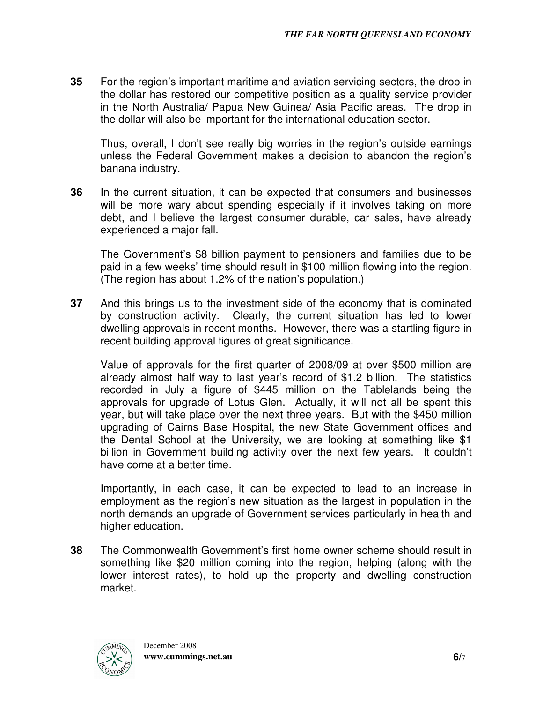**35** For the region's important maritime and aviation servicing sectors, the drop in the dollar has restored our competitive position as a quality service provider in the North Australia/ Papua New Guinea/ Asia Pacific areas. The drop in the dollar will also be important for the international education sector.

Thus, overall, I don't see really big worries in the region's outside earnings unless the Federal Government makes a decision to abandon the region's banana industry.

**36** In the current situation, it can be expected that consumers and businesses will be more wary about spending especially if it involves taking on more debt, and I believe the largest consumer durable, car sales, have already experienced a major fall.

The Government's \$8 billion payment to pensioners and families due to be paid in a few weeks' time should result in \$100 million flowing into the region. (The region has about 1.2% of the nation's population.)

**37** And this brings us to the investment side of the economy that is dominated by construction activity. Clearly, the current situation has led to lower dwelling approvals in recent months. However, there was a startling figure in recent building approval figures of great significance.

Value of approvals for the first quarter of 2008/09 at over \$500 million are already almost half way to last year's record of \$1.2 billion. The statistics recorded in July a figure of \$445 million on the Tablelands being the approvals for upgrade of Lotus Glen. Actually, it will not all be spent this year, but will take place over the next three years. But with the \$450 million upgrading of Cairns Base Hospital, the new State Government offices and the Dental School at the University, we are looking at something like \$1 billion in Government building activity over the next few years. It couldn't have come at a better time.

Importantly, in each case, it can be expected to lead to an increase in employment as the region's new situation as the largest in population in the north demands an upgrade of Government services particularly in health and higher education.

**38** The Commonwealth Government's first home owner scheme should result in something like \$20 million coming into the region, helping (along with the lower interest rates), to hold up the property and dwelling construction market.